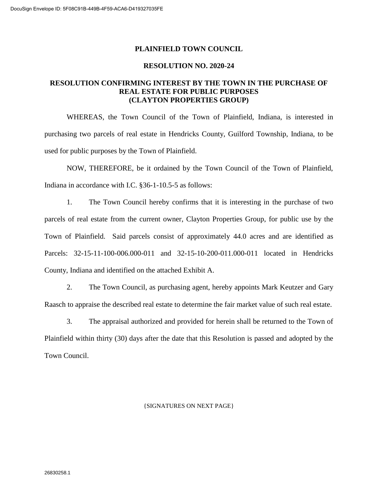#### **PLAINFIELD TOWN COUNCIL**

#### **RESOLUTION NO. 2020-24**

### **RESOLUTION CONFIRMING INTEREST BY THE TOWN IN THE PURCHASE OF REAL ESTATE FOR PUBLIC PURPOSES (CLAYTON PROPERTIES GROUP)**

WHEREAS, the Town Council of the Town of Plainfield, Indiana, is interested in purchasing two parcels of real estate in Hendricks County, Guilford Township, Indiana, to be used for public purposes by the Town of Plainfield.

NOW, THEREFORE, be it ordained by the Town Council of the Town of Plainfield, Indiana in accordance with I.C. §36-1-10.5-5 as follows:

1. The Town Council hereby confirms that it is interesting in the purchase of two parcels of real estate from the current owner, Clayton Properties Group, for public use by the Town of Plainfield. Said parcels consist of approximately 44.0 acres and are identified as Parcels: 32-15-11-100-006.000-011 and 32-15-10-200-011.000-011 located in Hendricks County, Indiana and identified on the attached Exhibit A.

2. The Town Council, as purchasing agent, hereby appoints Mark Keutzer and Gary Raasch to appraise the described real estate to determine the fair market value of such real estate.

3. The appraisal authorized and provided for herein shall be returned to the Town of Plainfield within thirty (30) days after the date that this Resolution is passed and adopted by the Town Council.

#### {SIGNATURES ON NEXT PAGE}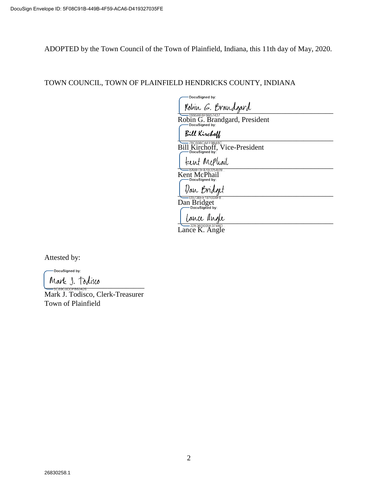ADOPTED by the Town Council of the Town of Plainfield, Indiana, this 11th day of May, 2020.

# TOWN COUNCIL, TOWN OF PLAINFIELD HENDRICKS COUNTY, INDIANA

DocuSigned by: Robin G. Brandgard

Robin G. Brandgard, President

 $\Box$ 

Bill Kirchoff, Vice-President

teent McPhail

Kent McPhail

Dan Bridget

Dan Bridget

Lance angle

Lance K. Angle

Attested by:

DocuSigned by:

Mark J. Todisco

Mark J. Todisco, Clerk-Treasurer Town of Plainfield